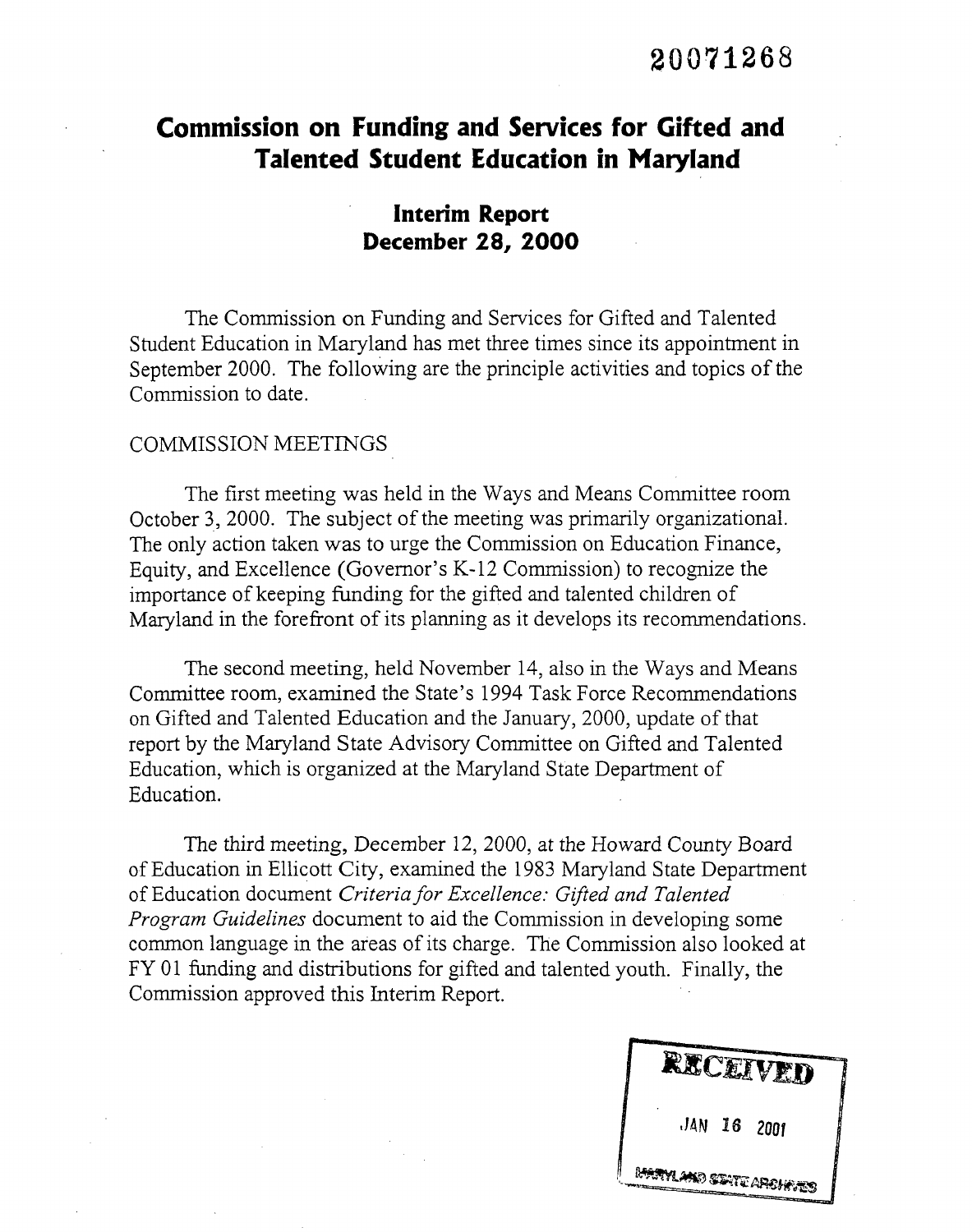# **Commission on Funding and Services for Gifted and Talented Student Education in Maryland**

## **Interim Report December 28, 2000**

The Commission on Funding and Services for Gifted and Talented Student Education in Maryland has met three times since its appointment in September 2000. The following are the principle activities and topics of the Commission to date.

#### COMMISSION MEETINGS

The first meeting was held in the Ways and Means Committee room October 3, 2000. The subject of the meeting was primarily organizational. The only action taken was to urge the Commission on Education Finance, Equity, and Excellence (Governor's K-12 Commission) to recognize the importance of keeping funding for the gifted and talented children of Maryland in the forefront of its planning as it develops its recommendations.

The second meeting, held November 14, also in the Ways and Means Committee room, examined the State's 1994 Task Force Recommendations on Gifted and Talented Education and the January, 2000, update of that report by the Maryland State Advisory Committee on Gifted and Talented Education, which is organized at the Maryland State Department of Education.

The third meeting, December 12, 2000, at the Howard County Board of Education in Ellicott City, examined the 1983 Maryland State Department of Education document *Criteria for Excellence: Gifted and Talented Program Guidelines* document to aid the Commission in developing some common language in the areas of its charge. The Commission also looked at FY 01 funding and distributions for gifted and talented youth. Finally, the Commission approved this Interim Report.

**MARYLAND STATE ARSHE**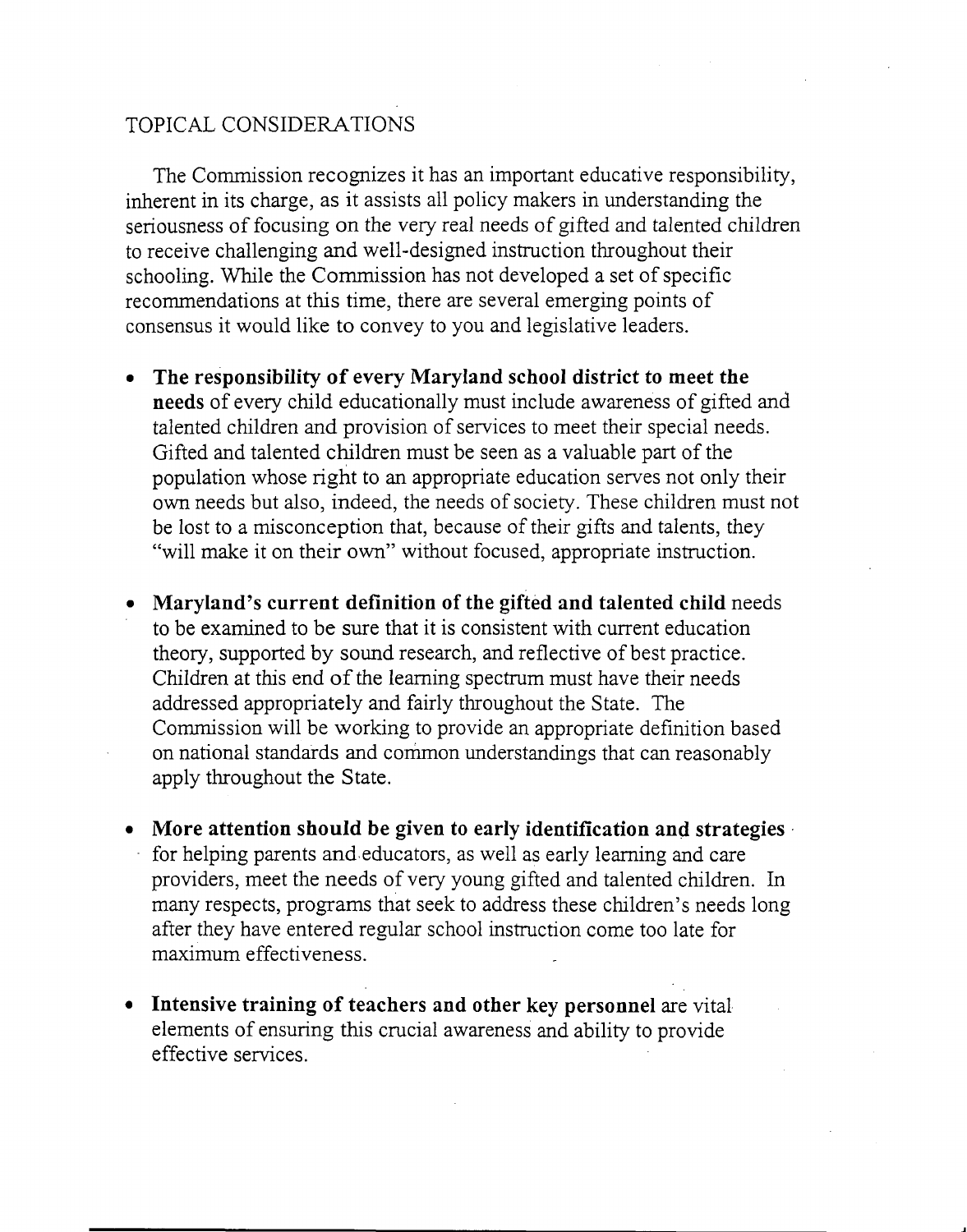### TOPICAL CONSIDERATIONS

The Commission recognizes it has an important educative responsibility, inherent in its charge, as it assists all policy makers in understanding the seriousness of focusing on the very real needs of gifted and talented children to receive challenging and well-designed instruction throughout their schooling. While the Commission has not developed a set of specific recommendations at this time, there are several emerging points of consensus it would like to convey to you and legislative leaders.

- • **The responsibility of every Maryland school district to meet the needs** of every child educationally must include awareness of gifted and talented children and provision of services to meet their special needs. Gifted and talented children must be seen as a valuable part of the population whose right to an appropriate education serves not only their own needs but also, indeed, the needs of society. These children must not be lost to a misconception that, because of their gifts and talents, they "will make it on their own" without focused, appropriate instruction.
- • **Maryland's current definition of the gifted and talented child** needs to be examined to be sure that it is consistent with current education theory, supported by sound research, and reflective of best practice. Children at this end of the learning spectrum must have their needs addressed appropriately and fairly throughout the State. The Commission will be working to provide an appropriate definition based on national standards and common understandings that can reasonably apply throughout the State.
- • **More attention should be given to early identification and strategies** for helping parents and-educators, as well as early learning and care providers, meet the needs of very young gifted and talented children. In many respects, programs that seek to address these children's needs long after they have entered regular school instruction come too late for maximum effectiveness.
- • **Intensive training of teachers and other key personnel** are vital elements of ensuring this crucial awareness and ability to provide effective services.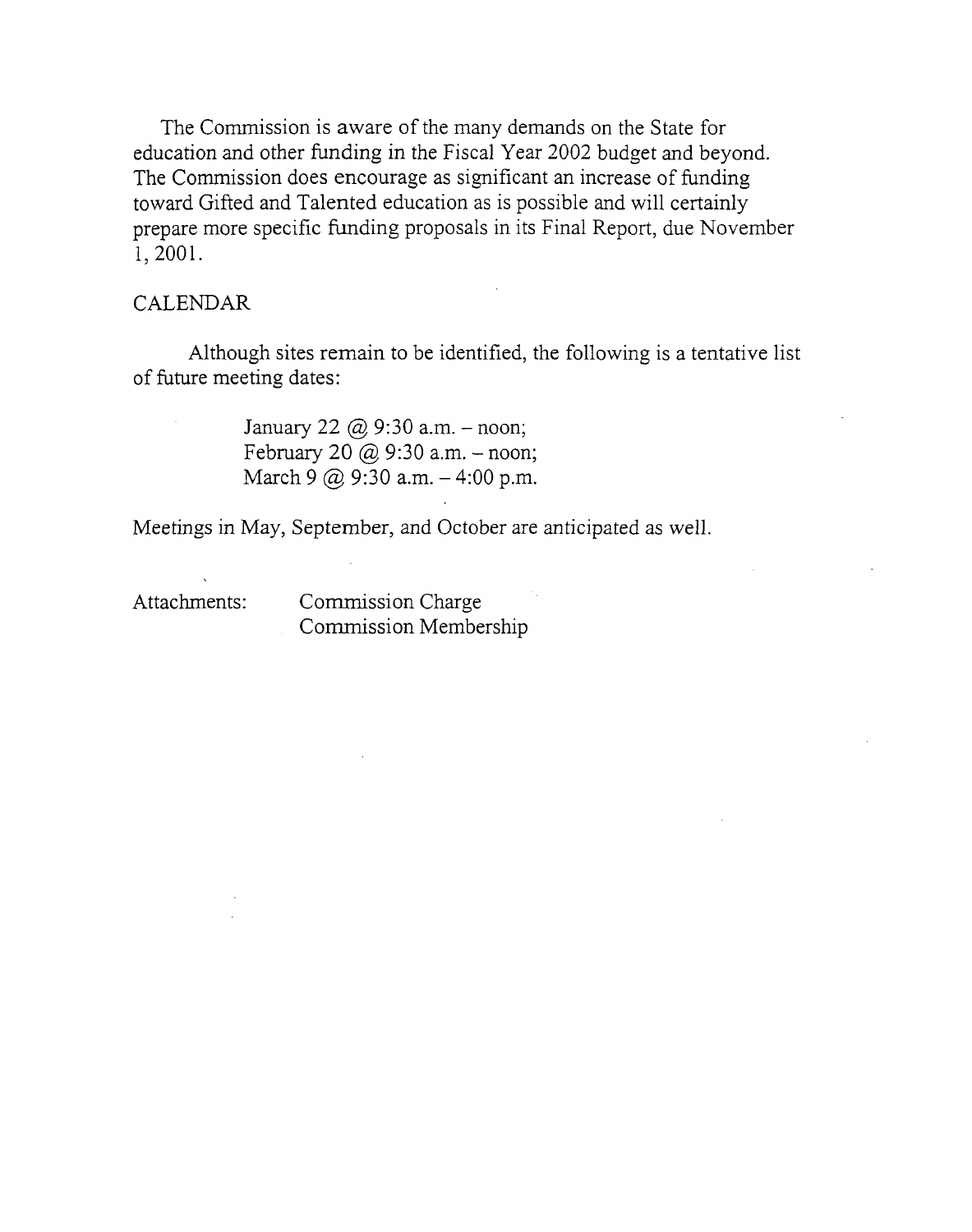The Commission is aware of the many demands on the State for education and other funding in the Fiscal Year 2002 budget and beyond. The Commission does encourage as significant an increase of funding toward Gifted and Talented education as is possible and will certainly prepare more specific funding proposals in its Final Report, due November 1,2001.

#### CALENDAR

Although sites remain to be identified, the following is a tentative list of future meeting dates:

> January 22  $\omega$  9:30 a.m. - noon; February 20  $\omega$  9:30 a.m. - noon; March 9  $\omega$  9:30 a.m.  $-4:00$  p.m.

Meetings in May, September, and October are anticipated as well.

Attachments: Commission Charge Commission Membership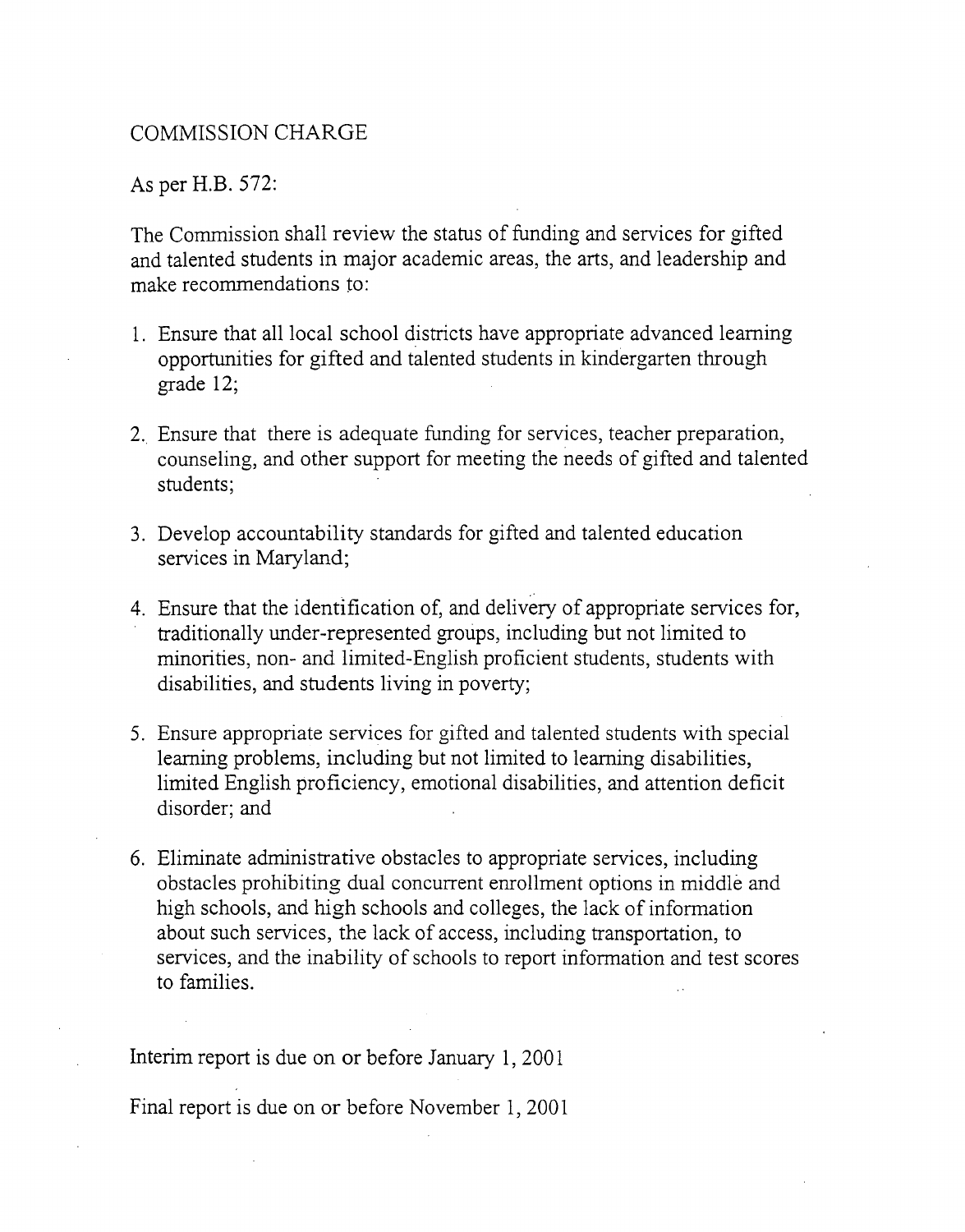#### COMMISSION CHARGE

As per H.B. 572:

The Commission shall review the status of funding and services for gifted and talented students in major academic areas, the arts, and leadership and make recommendations to:

- 1. Ensure that all local school districts have appropriate advanced learning opportunities for gifted and talented students in kindergarten through grade 12;
- 2. Ensure that there is adequate funding for services, teacher preparation, counseling, and other support for meeting the needs of gifted and talented students;
- 3. Develop accountability standards for gifted and talented education services in Maryland;
- 4. Ensure that the identification of, and delivery of appropriate services for, traditionally under-represented groups, including but not limited to minorities, non- and limited-English proficient students, students with disabilities, and students living in poverty;
- 5. Ensure appropriate services for gifted and talented students with special learning problems, including but not limited to learning disabilities, limited English proficiency, emotional disabilities, and attention deficit disorder; and
- 6. Eliminate administrative obstacles to appropriate services, including obstacles prohibiting dual concurrent enrollment options in middle and high schools, and high schools and colleges, the lack of information about such services, the lack of access, including transportation, to services, and the inability of schools to report information and test scores to families.

Interim report is due on or before January 1, 2001

Final report is due on or before November 1, 2001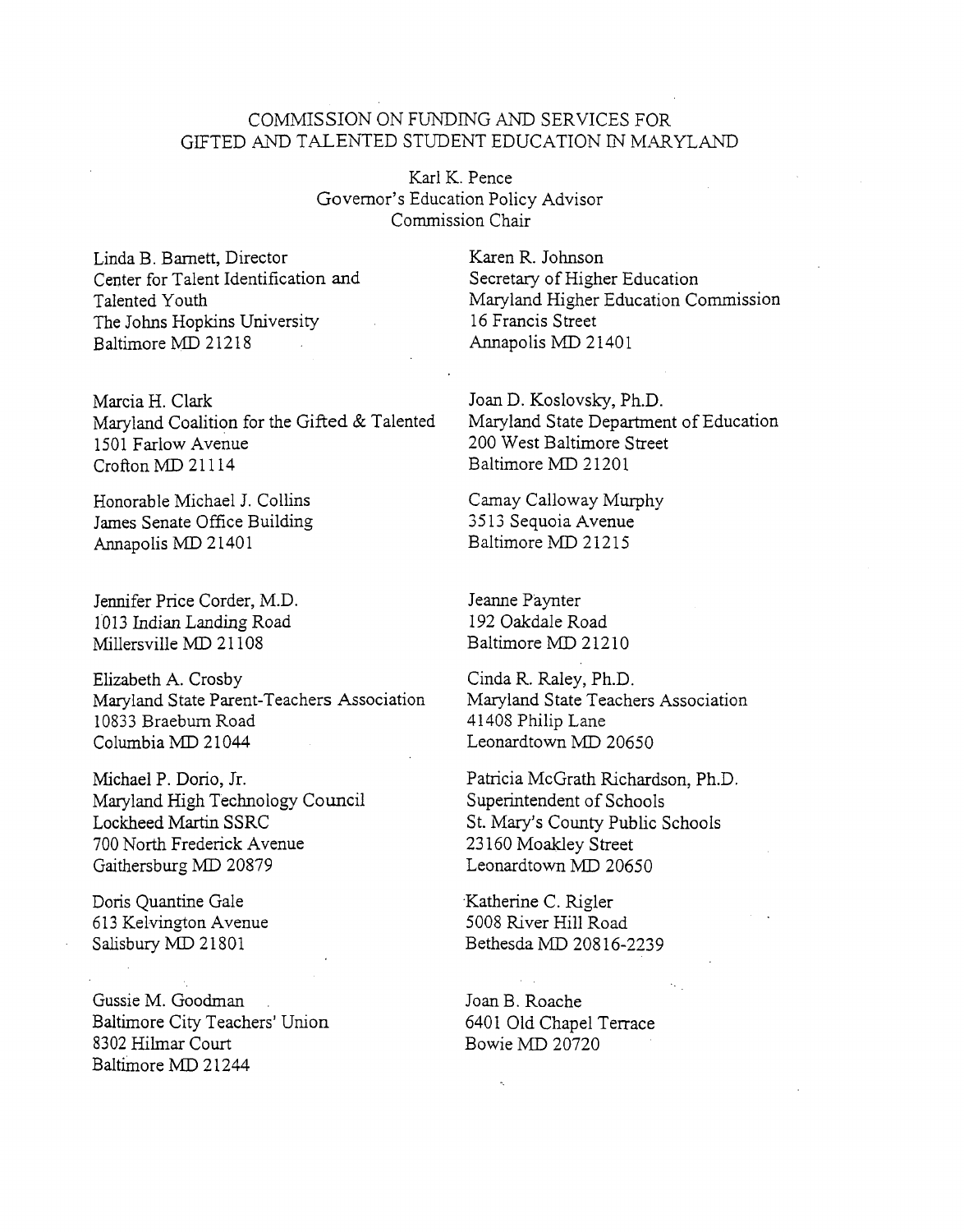#### COMMISSION ON FUNDING AND SERVICES FOR GIFTED AND TALENTED STUDENT EDUCATION IN MARYLAND

Karl K. Pence Governor's Education Policy Advisor Commission Chair

Linda B. Bamett, Director Center for Talent Identification and Talented Youth The Johns Hopkins University Baltimore MD 21218

Marcia H. Clark Maryland Coalition for the Gifted & Talented 1501 Farlow Avenue CroftonMD 21114

Honorable Michael J. Collins James Senate Office Building Annapolis MD 21401

Jennifer Price Corder, M.D. 1013 Indian Landing Road Millersville MD 21108

Elizabeth A. Crosby Maryland State Parent-Teachers Association 10833 Braebum Road Columbia MD 21044

Michael P. Dorio, Jr. Maryland High Technology Council Lockheed Martin SSRC 700 North Frederick Avenue Gaithersburg MD 20879

Doris Quantine Gale 613 Kelvington Avenue Salisbury MD 21801

Gussie M. Goodman Baltimore City Teachers' Union 8302 Hilmar Court Baltimore MD 21244

Karen R. Johnson Secretary of Higher Education Maryland Higher Education Commission 16 Francis Street Annapolis MD 21401

Joan D. Koslovsky, Ph.D. Maryland State Department of Education 200 West Baltimore Street Baltimore MD 21201

Camay Calloway Murphy 3513 Sequoia Avenue Baltimore MD 21215

Jeanne Paynter 192 Oakdale Road Baltimore MD 21210

Cinda R. Raley, Ph.D. Maryland State Teachers Association 41408 Philip Lane Leonardtown MD 20650

Patricia McGrath Richardson, Ph.D. Superintendent of Schools St. Mary's County Public Schools 23160 Moakley Street Leonardtown MD 20650

Katherine C. Rigler 5008 River Hill Road Bethesda MD 20816-2239

JoanB. Roache 6401 Old Chapel Terrace Bowie MD 20720